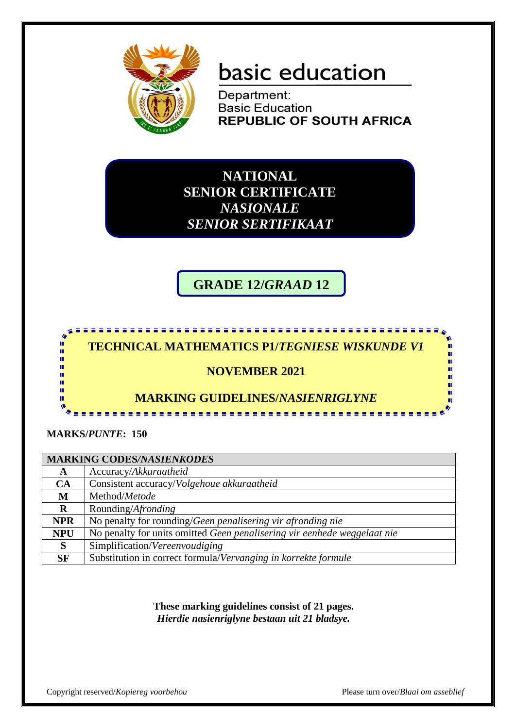

# basic education

Department: **Basic Education REPUBLIC OF SOUTH AFRICA** 

**NATIONAL SENIOR CERTIFICATE** *NASIONALE SENIOR SERTIFIKAAT*

**GRADE 12/***GRAAD* **12**



**MARKS/***PUNTE***: 150**

|            | <b>MARKING CODES/NASIENKODES</b>                                         |  |  |  |
|------------|--------------------------------------------------------------------------|--|--|--|
| A          | Accuracy/Akkuraatheid                                                    |  |  |  |
| <b>CA</b>  | Consistent accuracy/Volgehoue akkuraatheid                               |  |  |  |
| M          | Method/Metode                                                            |  |  |  |
| R          | Rounding/ <i>Afronding</i>                                               |  |  |  |
| <b>NPR</b> | No penalty for rounding/Geen penalisering vir afronding nie              |  |  |  |
| <b>NPU</b> | No penalty for units omitted Geen penalisering vir eenhede weggelaat nie |  |  |  |
| S          | Simplification/Vereenvoudiging                                           |  |  |  |
| <b>SF</b>  | Substitution in correct formula/Vervanging in korrekte formule           |  |  |  |

**These marking guidelines consist of 21 pages.** *Hierdie nasienriglyne bestaan uit 21 bladsye.*

Copyright reserved/*Kopiereg voorbehou* Please turn over/*Blaai om asseblief*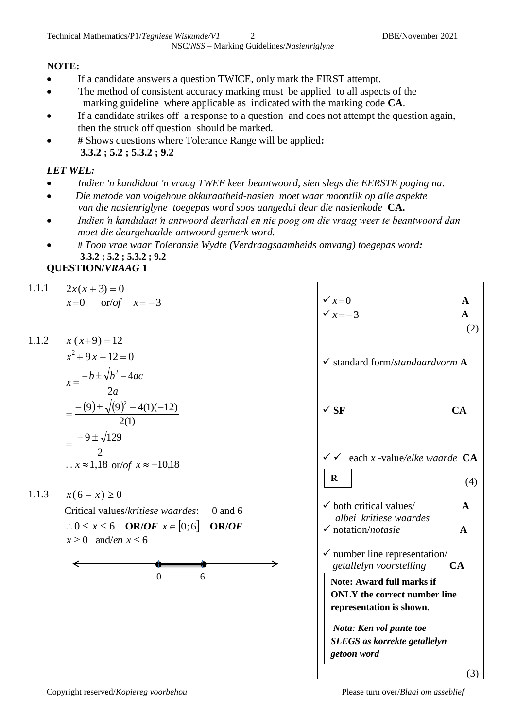## **NOTE:**

- If a candidate answers a question TWICE, only mark the FIRST attempt.
- The method of consistent accuracy marking must be applied to all aspects of the marking guideline where applicable as indicated with the marking code **CA**.
- If a candidate strikes off a response to a question and does not attempt the question again, then the struck off question should be marked.
- **#** Shows questions where Tolerance Range will be applied**: 3.3.2 ; 5.2 ; 5.3.2 ; 9.2**

## *LET WEL:*

- *Indien 'n kandidaat 'n vraag TWEE keer beantwoord, sien slegs die EERSTE poging na*.
- *Die metode van volgehoue akkuraatheid-nasien moet waar moontlik op alle aspekte van die nasienriglyne toegepas word soos aangedui deur die nasienkode* **CA.**
- *Indien 'n kandidaat 'n antwoord deurhaal en nie poog om die vraag weer te beantwoord dan moet die deurgehaalde antwoord gemerk word.*
- **#** *Toon vrae waar Toleransie Wydte (Verdraagsaamheids omvang) toegepas word:* **3.3.2 ; 5.2 ; 5.3.2 ; 9.2**

| 1.1.1 | $2x(x+3) = 0$                                                                                                                                                                                                                                   |                                                                                                                                                                               |
|-------|-------------------------------------------------------------------------------------------------------------------------------------------------------------------------------------------------------------------------------------------------|-------------------------------------------------------------------------------------------------------------------------------------------------------------------------------|
|       | $x=0$ or/of $x=-3$                                                                                                                                                                                                                              | $\checkmark$ $x=0$                                                                                                                                                            |
|       |                                                                                                                                                                                                                                                 | $\sqrt{x}=-3$<br>A                                                                                                                                                            |
|       |                                                                                                                                                                                                                                                 | (2)                                                                                                                                                                           |
| 1.1.2 | $x(x+9) = 12$<br>$x^2+9x-12=0$<br>$x = \frac{-b \pm \sqrt{b^2 - 4ac}}{2a}$<br>$=\frac{-\left(9\right) \pm \sqrt{\left(9\right)^2 - 4(1)(-12)}}{2(1)}$<br>$=\frac{-9 \pm \sqrt{129}}{2}$<br>$\therefore x \approx 1,18$ or/of $x \approx -10,18$ | $\checkmark$ standard form/standaardvorm $\Lambda$<br>$\checkmark$ SF<br>CA<br>$\checkmark$ $\checkmark$ each x -value/elke waarde <b>CA</b>                                  |
| 1.1.3 |                                                                                                                                                                                                                                                 | $\mathbf R$<br>(4)                                                                                                                                                            |
|       | $x(6-x) \ge 0$<br>Critical values/kritiese waardes:<br>$0$ and 6<br>$0.0 \le x \le 6$ OR/OF $x \in [0,6]$ OR/OF<br>$x \ge 0$ and/en $x \le 6$                                                                                                   | $\checkmark$ both critical values/<br>$\mathbf{A}$<br>albei kritiese waardes<br>$\checkmark$ notation/notasie<br>A<br>$\checkmark$ number line representation/                |
|       |                                                                                                                                                                                                                                                 | getallelyn voorstelling<br><b>CA</b>                                                                                                                                          |
|       | $\Omega$<br>6                                                                                                                                                                                                                                   | <b>Note: Award full marks if</b><br><b>ONLY</b> the correct number line<br>representation is shown.<br>Nota: Ken vol punte toe<br>SLEGS as korrekte getallelyn<br>getoon word |
|       |                                                                                                                                                                                                                                                 | (3)                                                                                                                                                                           |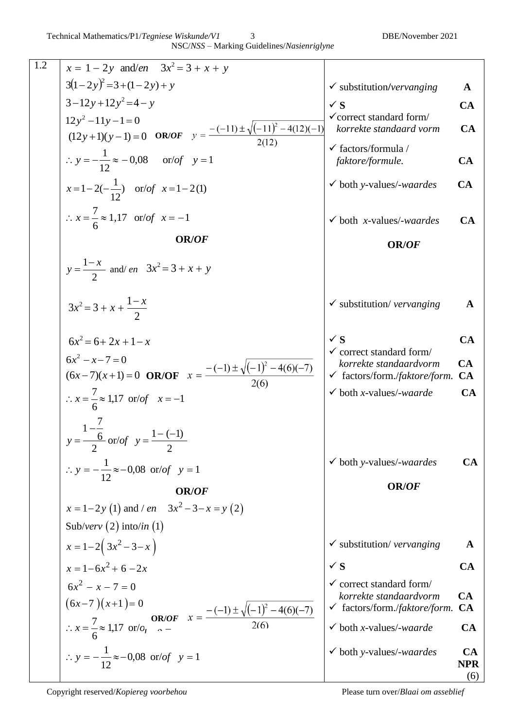| 1.2 | $x = 1 - 2y$ and/en $3x^2 = 3 + x + y$                                                                          |                                                                                                           |                         |
|-----|-----------------------------------------------------------------------------------------------------------------|-----------------------------------------------------------------------------------------------------------|-------------------------|
|     | $3(1-2y)^2 = 3 + (1-2y) + y$                                                                                    | $\checkmark$ substitution/vervanging                                                                      | $\mathbf{A}$            |
|     | $3-12y+12y^2=4-y$                                                                                               | $\checkmark$                                                                                              | CA                      |
|     | $12y^2 - 11y - 1 = 0$                                                                                           | $\checkmark$ correct standard form/<br>korrekte standaard vorm                                            | CA                      |
|     | $12y^2 - 11y - 1 = 0$<br>$(12y+1)(y-1) = 0$ OR/OF $y = \frac{-(-11) \pm \sqrt{(-11)^2 - 4(12)(-1)}}{2(12)}$     | $\checkmark$ factors/formula /                                                                            |                         |
|     | $\therefore y = -\frac{1}{12} \approx -0.08 \quad \text{or/of} \quad y = 1$                                     | faktore/formule.                                                                                          | CA                      |
|     | $x=1-2(-\frac{1}{12})$ or/of $x=1-2(1)$                                                                         | $\checkmark$ both y-values/-waardes                                                                       | <b>CA</b>               |
|     | $\therefore x = \frac{7}{6} \approx 1,17 \text{ or/of } x = -1$                                                 | $\checkmark$ both <i>x</i> -values/-waardes                                                               | CA                      |
|     | <b>OR/OF</b>                                                                                                    | OR/OF                                                                                                     |                         |
|     | $y = \frac{1-x}{2}$ and/ en $3x^2 = 3 + x + y$                                                                  |                                                                                                           |                         |
|     | $3x^2 = 3 + x + \frac{1-x}{2}$                                                                                  | $\checkmark$ substitution/vervanging                                                                      | $\mathbf{A}$            |
|     | $6x^2 = 6 + 2x + 1 - x$                                                                                         | $\checkmark$                                                                                              | CA                      |
|     | $6x^2 - x - 7 = 0$                                                                                              | $\checkmark$ correct standard form/<br>korrekte standaardvorm                                             | CA                      |
|     | 6x <sup>2</sup> - x-7 = 0<br>(6x-7)(x+1) = 0 <b>OR/OF</b> $x = \frac{-(-1) \pm \sqrt{(-1)^2 - 4(6)(-7)}}{2(6)}$ | $\checkmark$ factors/form./faktore/form.                                                                  | CA                      |
|     | $\therefore x = \frac{7}{6} \approx 1.17 \text{ or/}of x = -1$                                                  | $\checkmark$ both x-values/-waarde                                                                        | CA                      |
|     | $y = \frac{1 - \frac{7}{6}}{2}$ or/of $y = \frac{1 - (-1)}{2}$                                                  | $\checkmark$ both y-values/-waardes                                                                       | CA                      |
|     | $\therefore y = -\frac{1}{12} \approx -0.08 \text{ or/}of y = 1$                                                | OR/OF                                                                                                     |                         |
|     | OR/ <i>OF</i>                                                                                                   |                                                                                                           |                         |
|     | $x = 1-2y(1)$ and / en $3x^2-3-x = y(2)$                                                                        |                                                                                                           |                         |
|     | Sub/verv $(2)$ into/in $(1)$                                                                                    |                                                                                                           |                         |
|     | $x = 1-2(3x^2-3-x)$                                                                                             | $\checkmark$ substitution/vervanging                                                                      | A                       |
|     | $x = 1 - 6x^2 + 6 - 2x$                                                                                         | $\checkmark$                                                                                              | CA                      |
|     | $6x^2 - x - 7 = 0$<br>$(6x-7)(x+1)=0$                                                                           | $\checkmark$ correct standard form/<br>korrekte standaardvorm<br>$\checkmark$ factors/form./faktore/form. | CA<br><b>CA</b>         |
|     | ∴ $x = \frac{7}{6} \approx 1.17$ or/o, $x = \frac{-(-1) \pm \sqrt{(-1)^2 - 4(6)(-7)}}{2(6)}$                    | $\checkmark$ both x-values/-waarde                                                                        | CA                      |
|     | $\therefore y = -\frac{1}{12} \approx -0.08 \text{ or/}of y = 1$                                                | $\checkmark$ both y-values/-waardes                                                                       | CA<br><b>NPR</b><br>(6) |

Copyright reserved/*Kopiereg voorbehou* Please turn over/*Blaai om asseblief*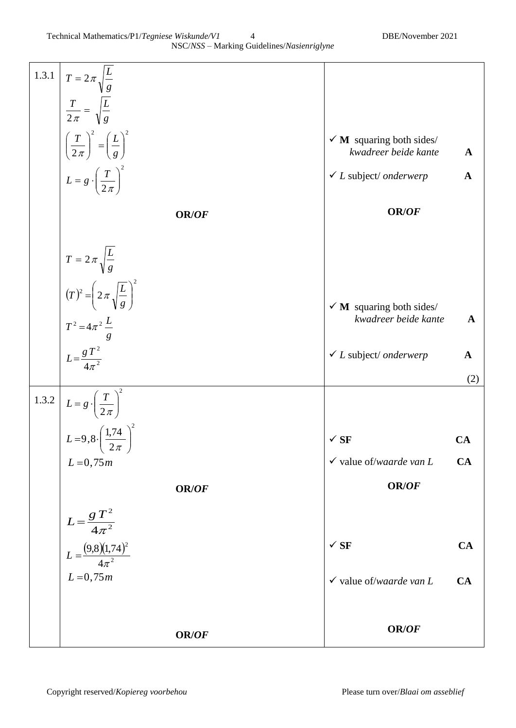| 1.3.1 | $T = 2\pi \sqrt{\frac{L}{g}}$<br>$\frac{T}{2\pi} = \sqrt{\frac{L}{g}}$<br>$\left(\frac{T}{2\pi}\right)^2 = \left(\frac{L}{g}\right)^2$<br>$L = g \cdot \left(\frac{T}{2\pi}\right)^2$<br><b>OR/OF</b>                                                                 | $\checkmark$ M squaring both sides/<br>kwadreer beide kante<br>$\checkmark$ L subject/ onderwerp<br>OR/OF               | A<br>$\mathbf A$                   |
|-------|-----------------------------------------------------------------------------------------------------------------------------------------------------------------------------------------------------------------------------------------------------------------------|-------------------------------------------------------------------------------------------------------------------------|------------------------------------|
|       | $T = 2\pi \sqrt{\frac{L}{g}}$<br>$(T)^2 = \left(2\pi\sqrt{\frac{L}{g}}\right)^2$<br>$T^2 = 4\pi^2 \frac{L}{g}$<br>$L = \frac{gT^2}{4\pi^2}$                                                                                                                           | $\checkmark$ M squaring both sides/<br>kwadreer beide kante<br>$\checkmark$ L subject/ onderwerp                        | $\mathbf{A}$<br>$\mathbf A$<br>(2) |
| 1.3.2 | $\left  \begin{array}{c} L=g\cdot \left(\frac{T}{2\pi}\right)^2 \\ \\ L=9,8\cdot \left(\frac{1.74}{2}\right)^2 \end{array} \right $<br>$\left(2\pi\right)$<br>$L = 0,75m$<br>OR/OF<br>L = $\frac{g T^2}{4\pi^2}$<br>L = $\frac{(9,8)(1,74)^2}{4\pi^2}$<br>$L = 0,75m$ | $\checkmark$ SF<br>$\checkmark$ value of/waarde van L<br>OR/OF<br>$\checkmark$ SF<br>$\checkmark$ value of/waarde van L | CA<br>CA<br>CA                     |
|       | OR/OF                                                                                                                                                                                                                                                                 | OR/OF                                                                                                                   |                                    |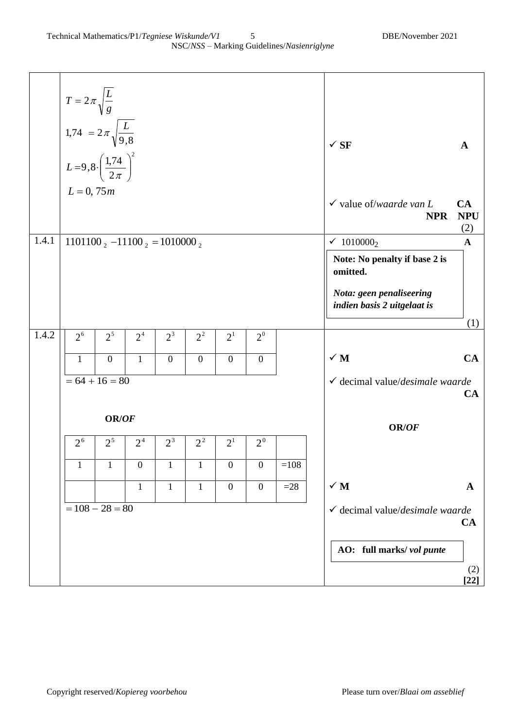|       | $T = 2\pi \sqrt{\frac{L}{g}}$<br>1,74 = $2\pi \sqrt{\frac{L}{9,8}}$<br>$L = 9,8 \cdot \left(\frac{1,74}{2\pi}\right)^2$<br>$L = 0, 75m$ |                  |                  |                |                |                  |                      |        | $\checkmark$ SF<br>$\checkmark$ value of/waarde van L<br><b>NPR</b> | $\mathbf A$<br>CA<br><b>NPU</b><br>(2)                                                               |               |
|-------|-----------------------------------------------------------------------------------------------------------------------------------------|------------------|------------------|----------------|----------------|------------------|----------------------|--------|---------------------------------------------------------------------|------------------------------------------------------------------------------------------------------|---------------|
| 1.4.1 | $1101100_{2} - 11100_{2} = 1010000_{2}$                                                                                                 |                  |                  |                |                |                  |                      |        |                                                                     | $\times$ 1010000 <sub>2</sub>                                                                        | $\mathbf{A}$  |
|       |                                                                                                                                         |                  |                  |                |                |                  |                      |        |                                                                     | Note: No penalty if base 2 is<br>omitted.<br>Nota: geen penaliseering<br>indien basis 2 uitgelaat is | (1)           |
| 1.4.2 | 2 <sup>6</sup>                                                                                                                          | 2 <sup>5</sup>   | 2 <sup>4</sup>   | $2^3$          | $2^2$          | 2 <sup>1</sup>   | $2^{\rm o}$          |        |                                                                     |                                                                                                      |               |
|       | 1                                                                                                                                       | $\boldsymbol{0}$ | 1                | $\overline{0}$ | $\overline{0}$ | $\overline{0}$   | $\mathbf{0}$         |        |                                                                     | $\checkmark$ M                                                                                       | CA            |
|       | $= 64 + 16 = 80$                                                                                                                        |                  |                  |                |                |                  |                      |        |                                                                     | $\checkmark$ decimal value/ <i>desimale waarde</i>                                                   | CA            |
|       |                                                                                                                                         | OR/OF            |                  |                |                |                  |                      |        |                                                                     | OR/OF                                                                                                |               |
|       | 2 <sup>6</sup>                                                                                                                          | 2 <sup>5</sup>   | 2 <sup>4</sup>   | $2^3$          | $2^2$          | 2 <sup>1</sup>   | $2^{\scriptstyle 0}$ |        |                                                                     |                                                                                                      |               |
|       |                                                                                                                                         |                  |                  |                |                |                  |                      |        |                                                                     |                                                                                                      |               |
|       | $\mathbf{1}$                                                                                                                            | $\mathbf{1}$     | $\boldsymbol{0}$ | $\mathbf{1}$   | $\mathbf{1}$   | $\boldsymbol{0}$ | $\boldsymbol{0}$     | $=108$ |                                                                     |                                                                                                      |               |
|       |                                                                                                                                         |                  | $\mathbf{1}$     | $\mathbf{1}$   | $\mathbf{1}$   | $\boldsymbol{0}$ | $\boldsymbol{0}$     | $=28$  |                                                                     | $\checkmark$ M                                                                                       | $\mathbf A$   |
|       | $= 108 - 28 = 80$                                                                                                                       |                  |                  |                |                |                  |                      |        |                                                                     | $\checkmark$ decimal value/ <i>desimale waarde</i>                                                   | CA            |
|       |                                                                                                                                         |                  |                  |                |                |                  |                      |        |                                                                     | AO: full marks/vol punte                                                                             | (2)<br>$[22]$ |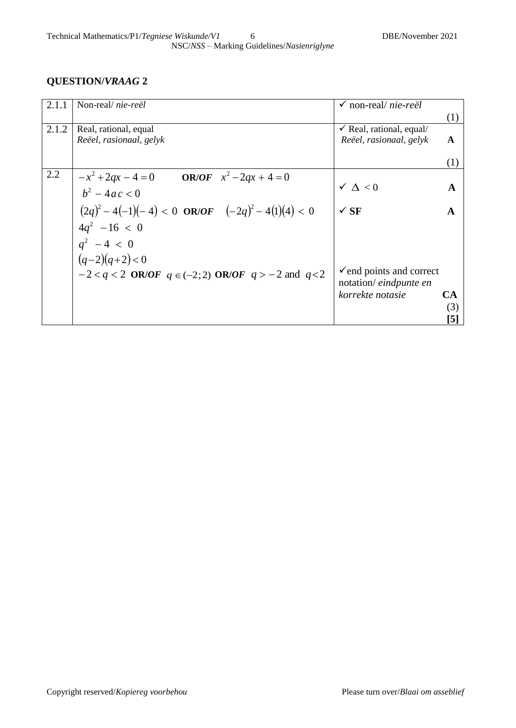| 2.1.1 | Non-real/ <i>nie-reël</i>                                    | $\checkmark$ non-real/ <i>nie-reël</i> |                  |
|-------|--------------------------------------------------------------|----------------------------------------|------------------|
|       |                                                              |                                        | (1)              |
| 2.1.2 | Real, rational, equal                                        | $\checkmark$ Real, rational, equal/    |                  |
|       | Reëel, rasionaal, gelyk                                      | Reëel, rasionaal, gelyk                | A                |
|       |                                                              |                                        |                  |
|       |                                                              |                                        | $\left(1\right)$ |
| 2.2   | $-x^2+2qx-4=0$<br><b>OR/OF</b> $x^2-2qx+4=0$                 |                                        |                  |
|       | $b^2 - 4ac < 0$                                              | $\checkmark$ $\Delta$ < 0              | A                |
|       |                                                              |                                        |                  |
|       | $(2q)^2 - 4(-1)(-4) < 0$ OR/OF $(-2q)^2 - 4(1)(4) < 0$       | $\checkmark$ SF                        | A                |
|       | $4q^2 - 16 < 0$                                              |                                        |                  |
|       | $q^2 - 4 < 0$                                                |                                        |                  |
|       | $(q-2)(q+2) < 0$                                             |                                        |                  |
|       | $-2 < q < 2$ OR/OF $q \in (-2,2)$ OR/OF $q > -2$ and $q < 2$ | $\checkmark$ end points and correct    |                  |
|       |                                                              | notation/ <i>eindpunte en</i>          |                  |
|       |                                                              | korrekte notasie                       | <b>CA</b>        |
|       |                                                              |                                        | (3)              |
|       |                                                              |                                        | 5                |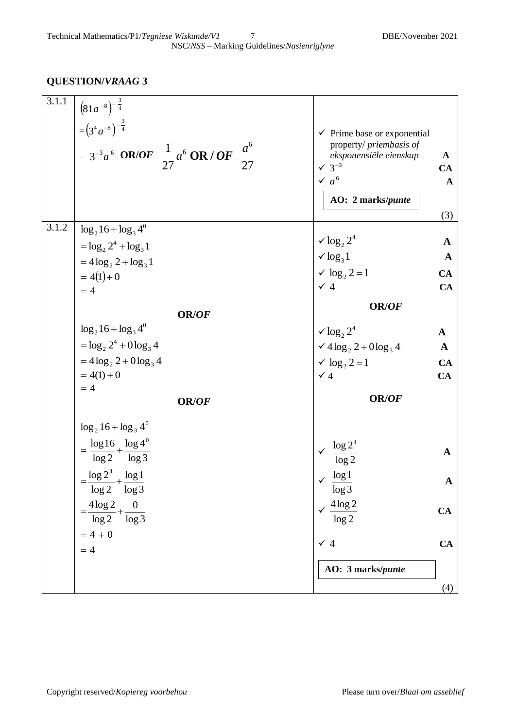| 3.1.1 | $(81a^{-8})^{-\frac{3}{4}}$<br>$=(3^4a^{-8})^{-\frac{3}{4}}$<br>= 3 <sup>-3</sup> a <sup>6</sup> OR/OF $\frac{1}{27}$ a <sup>6</sup> OR/OF $\frac{a^{0}}{27}$ | $\checkmark$ Prime base or exponential<br>property/ priembasis of<br>eksponensiële eienskap<br>$\times 3^{-3}$<br>$\sqrt{a}^6$<br>AO: 2 marks/punte | $\mathbf{A}$<br>CA<br>$\mathbf{A}$<br>(3) |
|-------|---------------------------------------------------------------------------------------------------------------------------------------------------------------|-----------------------------------------------------------------------------------------------------------------------------------------------------|-------------------------------------------|
| 3.1.2 | $\log_2 16 + \log_3 4^0$                                                                                                                                      |                                                                                                                                                     |                                           |
|       | $=$ $\log_2 2^4 + \log_3 1$                                                                                                                                   | $\sqrt{\log_2 2^4}$                                                                                                                                 | $\mathbf{A}$                              |
|       | $=4\log_2 2 + \log_3 1$                                                                                                                                       | $\sqrt{\log_3 1}$                                                                                                                                   | $\mathbf{A}$                              |
|       | $= 4(1)+0$                                                                                                                                                    | $\sqrt{\log_2 2} = 1$                                                                                                                               | CA                                        |
|       | $=4$                                                                                                                                                          | $\checkmark$ 4                                                                                                                                      | CA                                        |
|       | OR/OF                                                                                                                                                         | OR/OF                                                                                                                                               |                                           |
|       | $\log_2 16 + \log_3 4^0$                                                                                                                                      | $\sqrt{\log_2 2^4}$                                                                                                                                 | $\mathbf{A}$                              |
|       | $=$ log <sub>2</sub> $2^4$ + 0 log <sub>3</sub> 4                                                                                                             | $\sqrt{4 \log_2 2 + 0 \log_3 4}$                                                                                                                    | $\mathbf A$                               |
|       | $=4\log_2 2+0\log_3 4$                                                                                                                                        | $\sqrt{\log_2 2} = 1$                                                                                                                               | CA                                        |
|       | $= 4(1) + 0$                                                                                                                                                  | $\checkmark$ 4                                                                                                                                      | CA                                        |
|       | $=4$                                                                                                                                                          |                                                                                                                                                     |                                           |
|       | OR/OF                                                                                                                                                         | OR/OF                                                                                                                                               |                                           |
|       | $\log_2 16 + \log_3 4^0$                                                                                                                                      |                                                                                                                                                     |                                           |
|       | $=\frac{\log 16}{\log 2}+\frac{\log 4^0}{\log 3}$                                                                                                             | $\sqrt{\frac{\log 2^4}{\log 2}}$                                                                                                                    | $\mathbf A$                               |
|       | $=\frac{\log 2^4}{\log 2}+\frac{\log 1}{\log 3}$                                                                                                              | $\sqrt{\log 1}$<br>log 3                                                                                                                            |                                           |
|       | $\overline{0}$<br>$\frac{4\log 2}{4}$<br>log 3<br>log 2                                                                                                       | $\sqrt{\frac{4\log 2}{\log 2}}$<br>log 2                                                                                                            | CA                                        |
|       | $= 4 + 0$<br>$=4$                                                                                                                                             | $\checkmark$ 4                                                                                                                                      | CA                                        |
|       |                                                                                                                                                               | AO: 3 marks/punte                                                                                                                                   |                                           |
|       |                                                                                                                                                               |                                                                                                                                                     | (4)                                       |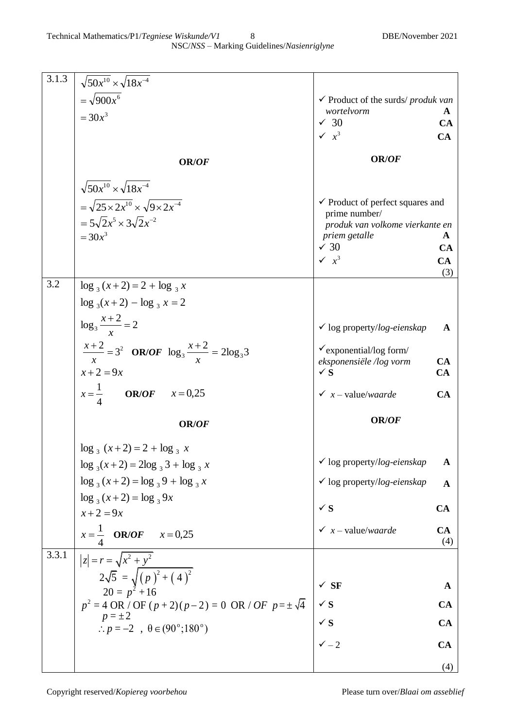| 3.1.3 | $\sqrt{50x^{10}}$ × $\sqrt{18x^{-4}}$                                                                 |                                                                                 |              |
|-------|-------------------------------------------------------------------------------------------------------|---------------------------------------------------------------------------------|--------------|
|       | $=\sqrt{900x^6}$                                                                                      | $\checkmark$ Product of the surds/ produk van                                   |              |
|       | $=30x^3$                                                                                              | wortelvorm                                                                      | A            |
|       |                                                                                                       | $\sqrt{30}$<br>$\sqrt{x^3}$                                                     | CA<br>CA     |
|       |                                                                                                       |                                                                                 |              |
|       | OR/OF                                                                                                 | OR/OF                                                                           |              |
|       | $\sqrt{50x^{10}} \times \sqrt{18x^{-4}}$                                                              |                                                                                 |              |
|       | $=\sqrt{25\times2x^{10}}\times\sqrt{9\times2x^{-4}}$                                                  | $\checkmark$ Product of perfect squares and                                     |              |
|       | $=5\sqrt{2}x^5 \times 3\sqrt{2}x^{-2}$                                                                | prime number/                                                                   |              |
|       | $=30x^3$                                                                                              | produk van volkome vierkante en<br>priem getalle                                | A            |
|       |                                                                                                       | $\times$ 30                                                                     | CA           |
|       |                                                                                                       | $\sqrt{x^3}$                                                                    | CA<br>(3)    |
| 3.2   | $\log_3(x+2) = 2 + \log_3 x$                                                                          |                                                                                 |              |
|       | $\log_3(x+2) - \log_3 x = 2$                                                                          |                                                                                 |              |
|       | $\log_3 \frac{x+2}{x} = 2$                                                                            | $\checkmark$ log property/log-eienskap                                          | A            |
|       | $\frac{x+2}{x} = 3^2$ OR/OF $\log_3 \frac{x+2}{x} = 2\log_3 3$<br>$x+2=9x$                            | $\checkmark$ exponential/log form/<br>eksponensiële /log vorm<br>$\checkmark$ S | CA<br>CA     |
|       | $x = \frac{1}{x}$ OR/OF $x = 0.25$                                                                    | $\checkmark$ x – value/waarde                                                   | CA           |
|       | OR/OF                                                                                                 | OR/OF                                                                           |              |
|       | $\log_3 (x+2) = 2 + \log_3 x$                                                                         |                                                                                 |              |
|       | $\log_3(x+2) = 2\log_3 3 + \log_3 x$                                                                  | $\checkmark$ log property/log-eienskap                                          | $\mathbf A$  |
|       | $\log_3(x+2) = \log_3 9 + \log_3 x$                                                                   | $\checkmark$ log property/log-eienskap                                          | $\mathbf{A}$ |
|       | $\log_3(x+2) = \log_3 9x$                                                                             |                                                                                 | CA           |
|       | $x + 2 = 9x$                                                                                          |                                                                                 |              |
|       | $x = \frac{1}{x}$ OR/OF $x = 0.25$                                                                    | $\checkmark$ x – value/waarde                                                   | CA<br>(4)    |
| 3.3.1 | $ z  = r = \sqrt{x^2 + y^2}$                                                                          |                                                                                 |              |
|       | $2\sqrt{5} = \sqrt{\frac{p^2 + 2^2}{(p^2 + (4)^2)}}$<br>$20 = p^2 + 16$<br>$4 \text{ OP } 4\degree 7$ | $\times$ SF                                                                     | $\mathbf{A}$ |
|       | $p^2 = 4 \text{ OR } / \text{ OF } (p+2)(p-2) = 0 \text{ OR } / \text{ OF } p = \pm \sqrt{4}$         |                                                                                 | <b>CA</b>    |
|       | $p=\pm 2$                                                                                             |                                                                                 | <b>CA</b>    |
|       | $\therefore p = -2$ , $\theta \in (90^{\circ}; 180^{\circ})$                                          |                                                                                 |              |
|       |                                                                                                       |                                                                                 | CA           |
|       |                                                                                                       |                                                                                 | (4)          |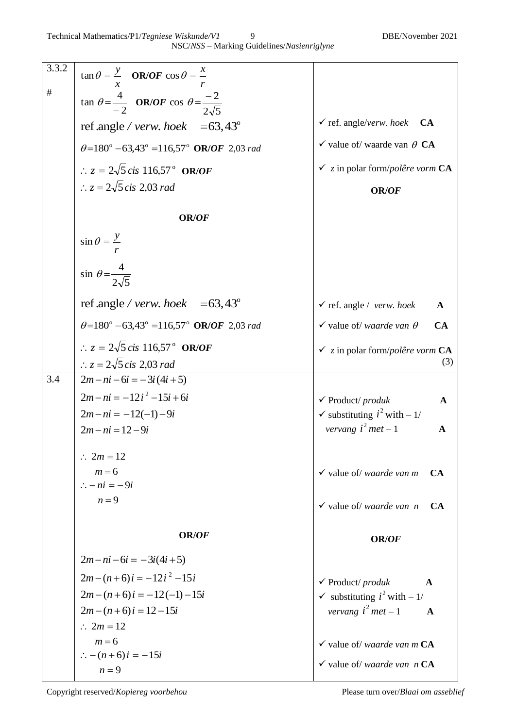| 3.3.2 | $\tan \theta = \frac{y}{x}$ <b>OR/OF</b> $\cos \theta = \frac{x}{r}$   |                                                                                     |
|-------|------------------------------------------------------------------------|-------------------------------------------------------------------------------------|
| $\#$  | $\tan \theta = \frac{4}{-2}$ OR/OF cos $\theta = \frac{-2}{2\sqrt{5}}$ |                                                                                     |
|       |                                                                        |                                                                                     |
|       | ref.angle / verw. hoek = $63,43^{\circ}$                               | $\checkmark$ ref. angle/verw. hoek $CA$                                             |
|       | $\theta = 180^{\circ} - 63,43^{\circ} = 116,57^{\circ}$ OR/OF 2,03 rad | $\checkmark$ value of/ waarde van $\theta$ CA                                       |
|       | $\therefore z = 2\sqrt{5} \text{ cis } 116.57^{\circ} \text{ OR}/OF$   | $\checkmark$ z in polar form/polêre vorm $CA$                                       |
|       | $\therefore z = 2\sqrt{5} \text{ cis } 2,03 \text{ rad}$               | OR/OF                                                                               |
|       | OR/OF                                                                  |                                                                                     |
|       | $\sin \theta = \frac{y}{r}$                                            |                                                                                     |
|       | $\sin \theta = \frac{4}{2\sqrt{5}}$                                    |                                                                                     |
|       | ref.angle / verw. hoek = $63,43^{\circ}$                               | $\checkmark$ ref. angle / verw. hoek<br>$\mathbf{A}$                                |
|       | $\theta = 180^{\circ} - 63,43^{\circ} = 116,57^{\circ}$ OR/OF 2,03 rad | $\checkmark$ value of/ <i>waarde van</i> $\theta$<br><b>CA</b>                      |
|       | $\therefore z = 2\sqrt{5} \text{ cis } 116,57^{\circ} \text{ OR}/OF$   | $\checkmark$ z in polar form/polêre vorm $CA$                                       |
|       | $\therefore z = 2\sqrt{5} \text{ cis } 2,03 \text{ rad}$               | (3)                                                                                 |
| 3.4   | $2m - ni - 6i = -3i(4i + 5)$                                           |                                                                                     |
|       | $2m - ni = -12i^2 - 15i + 6i$                                          | $\checkmark$ Product/ produk<br>$\mathbf{A}$                                        |
|       | $2m - ni = -12(-1) - 9i$                                               | $\checkmark$ substituting $i^2$ with $-1/$                                          |
|       | $2m - ni = 12 - 9i$                                                    | vervang $i^2$ met - 1<br>$\mathbf A$                                                |
|       | $\therefore 2m = 12$                                                   |                                                                                     |
|       | $m = 6$                                                                | $\checkmark$ value of/ <i>waarde van m</i><br>CA                                    |
|       | $\therefore$ - $ni = -9i$                                              |                                                                                     |
|       | $n=9$                                                                  | $\checkmark$ value of/ <i>waarde van n</i><br>CA                                    |
|       | OR/OF                                                                  | OR/OF                                                                               |
|       | $2m - ni - 6i = -3i(4i + 5)$                                           |                                                                                     |
|       | $2m - (n + 6)i = -12i^2 - 15i$                                         |                                                                                     |
|       | $2m - (n + 6)i = -12(-1) - 15i$                                        | $\checkmark$ Product/ produk<br>$\mathbf{A}$                                        |
|       | $2m - (n + 6)i = 12 - 15i$                                             | $\checkmark$ substituting $i^2$ with $-1/$<br>vervang $i^2$ met - 1<br>$\mathbf{A}$ |
|       | $\therefore 2m = 12$                                                   |                                                                                     |
|       | $m=6$                                                                  |                                                                                     |
|       | $\therefore -(n+6)i = -15i$                                            | $\checkmark$ value of/waarde van m CA                                               |
|       | $n=9$                                                                  | $\checkmark$ value of/ <i>waarde van</i> n CA                                       |
|       |                                                                        |                                                                                     |

Copyright reserved/*Kopiereg voorbehou* Please turn over/*Blaai om asseblief*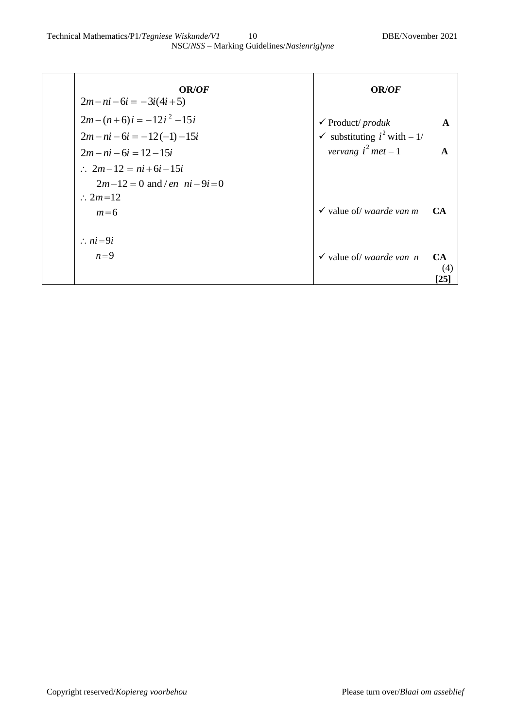| OR/ <i>OF</i><br>$2m - ni - 6i = -3i(4i + 5)$                                                                                                                         | OR/ <i>OF</i>                                                                                                                       |
|-----------------------------------------------------------------------------------------------------------------------------------------------------------------------|-------------------------------------------------------------------------------------------------------------------------------------|
| $2m - (n + 6)i = -12i^2 - 15i$<br>$2m - ni - 6i = -12(-1) - 15i$<br>$2m - ni - 6i = 12 - 15i$<br>$\therefore$ 2m - 12 = ni + 6i - 15i<br>$2m-12=0$ and / en $ni-9i=0$ | $\checkmark$ Product/ produk<br>$\mathbf{A}$<br>$\checkmark$ substituting $i^2$ with $-1/$<br>vervang $i^2$ met - 1<br>$\mathbf{A}$ |
| $\therefore 2m=12$<br>$m=6$                                                                                                                                           | $\checkmark$ value of <i>waarde van m</i><br>CA                                                                                     |
| $\therefore ni=9i$<br>$n=9$                                                                                                                                           | $\checkmark$ value of <i>waarde van n</i><br><b>CA</b><br>(4)<br> 25                                                                |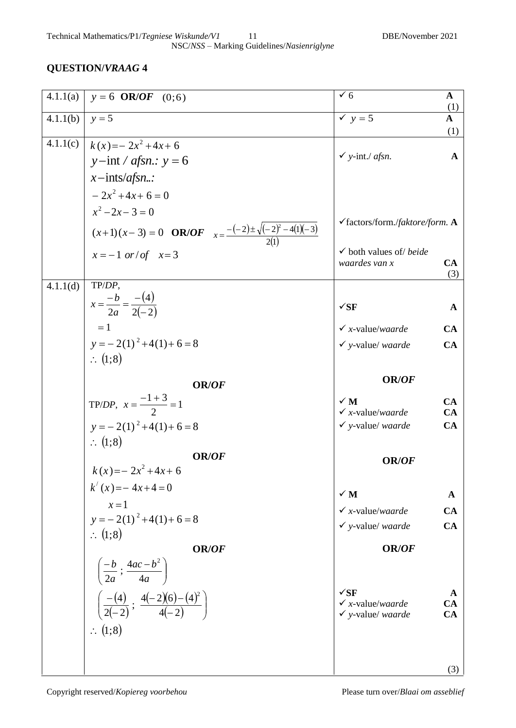| 4.1.1(a) | $y = 6$ OR/OF (0;6)                                                                 | $\checkmark$ 6                                                                    | $\mathbf{A}$<br>(1) |
|----------|-------------------------------------------------------------------------------------|-----------------------------------------------------------------------------------|---------------------|
| 4.1.1(b) | $y = 5$                                                                             | $y = 5$                                                                           | $\mathbf{A}$<br>(1) |
| 4.1.1(c) | $k(x) = -2x^2 + 4x + 6$                                                             |                                                                                   |                     |
|          | $y$ -int / <i>afsn</i> .: $y = 6$                                                   | $\checkmark$ y-int./ afsn.                                                        | A                   |
|          | $x$ -ints/ <i>afsn</i>                                                              |                                                                                   |                     |
|          | $-2x^2+4x+6=0$                                                                      |                                                                                   |                     |
|          | $x^2-2x-3=0$                                                                        |                                                                                   |                     |
|          | $(x+1)(x-3) = 0$ <b>OR/OF</b> $x = \frac{-(-2) \pm \sqrt{(-2)^2 - 4(1)(-3)}}{2(1)}$ | √factors/form./faktore/form. A                                                    |                     |
|          | $x = -1$ or/of $x = 3$                                                              | $\checkmark$ both values of/ <i>beide</i><br>waardes van x                        | CA<br>(3)           |
| 4.1.1(d) | TP/DP,                                                                              |                                                                                   |                     |
|          | $x = \frac{-b}{2a} = \frac{-(4)}{2(-2)}$                                            | $\sqrt{\text{SF}}$                                                                | $\mathbf{A}$        |
|          | $=1$                                                                                | $\checkmark$ x-value/waarde                                                       | CA                  |
|          | $y = -2(1)^{2} + 4(1) + 6 = 8$<br>$\therefore$ (1;8)                                | $\checkmark$ y-value/ waarde                                                      | CA                  |
|          |                                                                                     |                                                                                   |                     |
|          | <b>OR/OF</b>                                                                        | <b>OR/OF</b>                                                                      |                     |
|          | TP/DP, $x = \frac{-1+3}{2} = 1$                                                     | $\checkmark$ M                                                                    | CA<br>CA            |
|          | $y = -2(1)^{2} + 4(1) + 6 = 8$                                                      | $\checkmark$ x-value/waarde<br>$\checkmark$ y-value/waarde                        | CA                  |
|          | $\therefore$ (1;8)                                                                  |                                                                                   |                     |
|          | <b>OR/OF</b>                                                                        | <b>OR/OF</b>                                                                      |                     |
|          | $k(x) = -2x^2 + 4x + 6$                                                             |                                                                                   |                     |
|          | $k'(x) = -4x+4=0$                                                                   | $\checkmark$ M                                                                    | A                   |
|          | $x=1$                                                                               | $\checkmark$ x-value/waarde                                                       | <b>CA</b>           |
|          | $y = -2(1)^{2} + 4(1) + 6 = 8$                                                      | $\checkmark$ y-value/ waarde                                                      | CA                  |
|          | $\therefore$ (1;8)<br><b>OR/OF</b>                                                  | OR/OF                                                                             |                     |
|          | $\left(\frac{-b}{2a}; \frac{4ac-b^2}{4a}\right)$                                    |                                                                                   |                     |
|          | $\left(\frac{-(4)}{2(-2)};\ \frac{4(-2)(6)-(4)^2}{4(-2)}\right)$                    | $\sqrt{\text{SF}}$<br>$\checkmark$ x-value/waarde<br>$\checkmark$ y-value/ waarde | A<br>CA<br>CA       |
|          | $\therefore$ (1;8)                                                                  |                                                                                   |                     |
|          |                                                                                     |                                                                                   | (3)                 |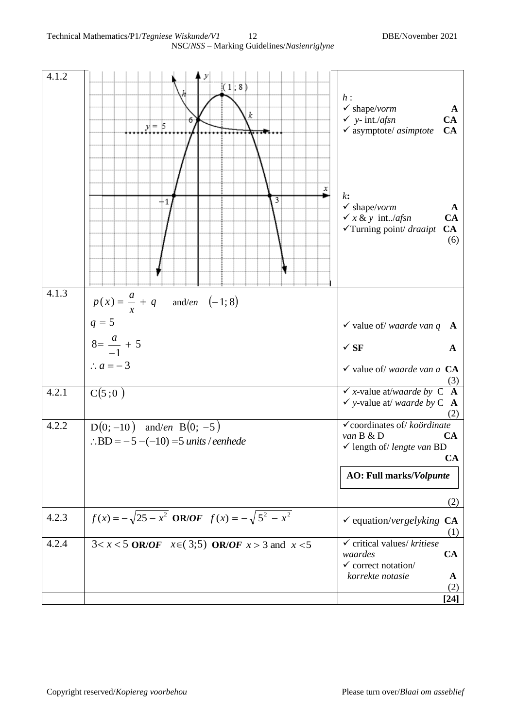Technical Mathematics/P1/*Tegniese Wiskunde/V1* 12 DBE/November 2021 NSC/*NSS* – Marking Guidelines/*Nasienriglyne* 

| 4.1.2 | у<br>(1;8)<br>k<br>$y =  5 $                                                      | $h$ :<br>$\checkmark$ shape/vorm<br>$\mathbf{A}$<br>CA<br>$\checkmark$ y-int./afsn<br><b>CA</b><br>$\checkmark$ asymptote/ asimptote      |
|-------|-----------------------------------------------------------------------------------|-------------------------------------------------------------------------------------------------------------------------------------------|
|       | х<br>3                                                                            | k:<br>$\checkmark$ shape/vorm<br>A<br>CA<br>$\checkmark$ x & y int/afsn<br>$\checkmark$ Turning point/ <i>draaipt</i><br><b>CA</b><br>(6) |
| 4.1.3 |                                                                                   |                                                                                                                                           |
|       | $p(x) = \frac{a}{x} + q$ and/en (-1;8)                                            |                                                                                                                                           |
|       | $q = 5$                                                                           | $\checkmark$ value of/ <i>waarde van q</i><br>$\mathbf{A}$                                                                                |
|       | $8=\frac{a}{-1}+5$                                                                | $\checkmark$ SF<br>A                                                                                                                      |
|       | $\therefore a = -3$                                                               | $\checkmark$ value of/ <i>waarde van a</i> CA<br>(3)                                                                                      |
| 4.2.1 | C(5;0)                                                                            | $\checkmark$ x-value at/waarde by C A<br>$\checkmark$ y-value at/waarde by C $\Lambda$<br>(2)                                             |
| 4.2.2 | $D(0; -10)$ and/en $B(0; -5)$<br>$\therefore BD = -5 - (-10) = 5$ units / eenhede | $\checkmark$ coordinates of/ <i>koördinate</i><br>van B & D<br>CA<br>$\checkmark$ length of/lengte van BD<br>CA                           |
|       |                                                                                   | <b>AO: Full marks/Volpunte</b>                                                                                                            |
|       |                                                                                   | (2)                                                                                                                                       |
| 4.2.3 | $f(x) = -\sqrt{25 - x^2}$ OR/OF $f(x) = -\sqrt{5^2 - x^2}$                        | $\checkmark$ equation/vergelyking CA<br>(1)                                                                                               |
| 4.2.4 | $3 < x < 5$ OR/OF $x \in (3,5)$ OR/OF $x > 3$ and $x < 5$                         | $\checkmark$ critical values/ kritiese<br>waardes<br><b>CA</b><br>$\checkmark$ correct notation/<br>korrekte notasie<br>A<br>(2)<br>[24]  |
|       |                                                                                   |                                                                                                                                           |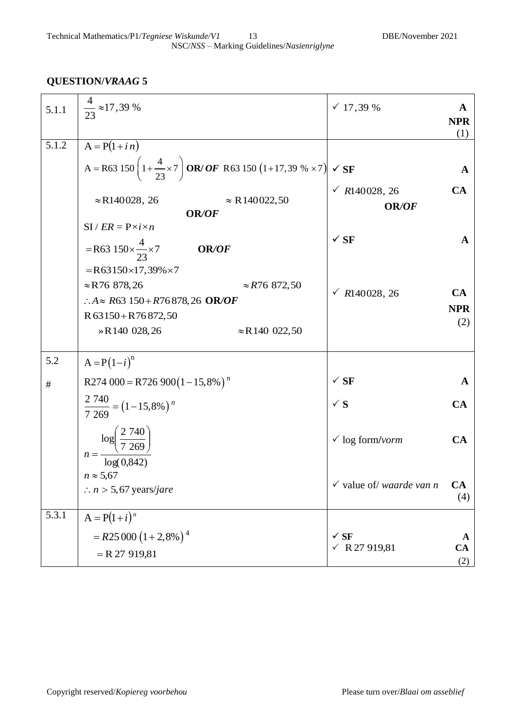| 5.1.1 | $\frac{4}{23}$ ≈17,39 %                                                                                          | $\sqrt{17,39\%}$                           | A<br><b>NPR</b><br>(1) |
|-------|------------------------------------------------------------------------------------------------------------------|--------------------------------------------|------------------------|
| 5.1.2 | $A = P(1 + i n)$                                                                                                 |                                            |                        |
|       | A = R63 150 $\left(1+\frac{4}{23}\times7\right)$ OR/ OF R63 150 $\left(1+17,39\% \times7\right)$ $\checkmark$ SF |                                            | $\mathbf{A}$           |
|       | $\approx$ R140022,50<br>$\approx$ R140028, 26                                                                    | √ $R140028, 26$<br>OR/OF                   | CA                     |
|       | OR/OF<br>$SI/ER = P\times i \times n$                                                                            |                                            |                        |
|       | =R63 150× $\frac{4}{23}$ ×7<br>OR/OF                                                                             | $\checkmark$ SF                            | $\mathbf{A}$           |
|       | $=R63150\times17,39\% \times 7$                                                                                  |                                            |                        |
|       | $\approx$ R76 878,26<br>$\approx$ R76 872,50                                                                     |                                            |                        |
|       | $A \approx R63 150 + R76 878, 26$ OR/OF                                                                          | √ $R140028, 26$                            | CA<br><b>NPR</b>       |
|       | R63150+R76872,50                                                                                                 |                                            | (2)                    |
|       | »R140 028,26<br>$\approx$ R140 022,50                                                                            |                                            |                        |
| 5.2   | $A = P(1 - i)^n$                                                                                                 |                                            |                        |
| $\#$  | R274 000 = R726 900(1 – 15,8%) <sup>n</sup>                                                                      | $\checkmark$ SF                            | $\mathbf{A}$           |
|       | $\frac{2\,740}{7\,269} = (1-15,8\%)^n$                                                                           | $\checkmark$ S                             | CA                     |
|       | $n = \frac{\log \left( \frac{2 \text{ } 740}{7 \text{ } 269} \right)}{\log(0,842)}$                              | $\checkmark$ log form/vorm                 | CA                     |
|       | $n \approx 5,67$<br>$\therefore$ n > 5,67 years/jare                                                             | $\checkmark$ value of/ <i>waarde van n</i> | CA<br>(4)              |
| 5.3.1 | $A = P(1+i)^n$                                                                                                   |                                            |                        |
|       | $=$ R25 000 $(1+2,8\%)$ <sup>4</sup>                                                                             | $\checkmark$ SF                            | $\mathbf{A}$           |
|       | $=$ R 27 919,81                                                                                                  | $\times$ R 27 919,81                       | CA<br>(2)              |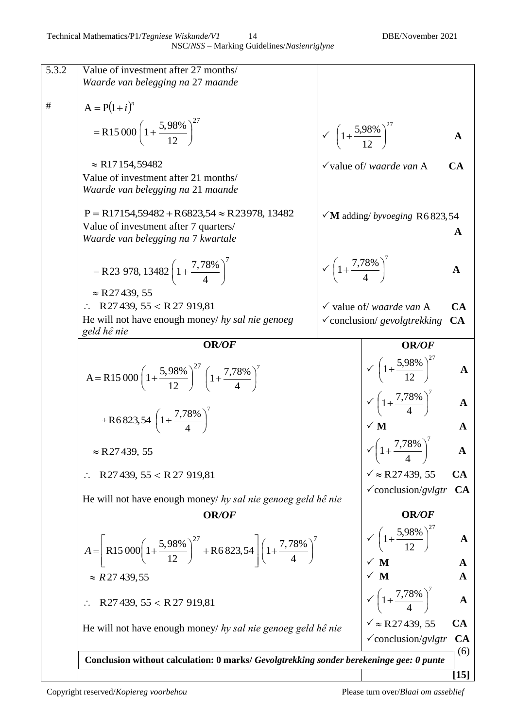| Value of investment after 27 months/                                                                                                                    |                                              |                                                                                      |                            |
|---------------------------------------------------------------------------------------------------------------------------------------------------------|----------------------------------------------|--------------------------------------------------------------------------------------|----------------------------|
| Waarde van belegging na 27 maande                                                                                                                       |                                              |                                                                                      |                            |
|                                                                                                                                                         |                                              |                                                                                      |                            |
| $A = P(1+i)^n$                                                                                                                                          |                                              |                                                                                      |                            |
| = R15 000 $\left(1+\frac{5,98\%}{12}\right)^{27}$                                                                                                       | $\sqrt{(1+\frac{5,98\%}{12})^2}$             |                                                                                      | A                          |
| $\approx$ R17154,59482<br>Value of investment after 21 months/<br>Waarde van belegging na 21 maande                                                     |                                              | $\checkmark$ value of/ <i>waarde van</i> A                                           | CA                         |
| $P = R17154,59482 + R6823,54 \approx R23978,13482$                                                                                                      |                                              | $\sqrt{M}$ adding/ byvoeging R6823,54                                                |                            |
| Value of investment after 7 quarters/<br>Waarde van belegging na 7 kwartale                                                                             |                                              |                                                                                      | A                          |
| = R23 978, 13482 $\left(1+\frac{7,78\%}{4}\right)^{\prime}$                                                                                             | $\sqrt{\left(1+\frac{7,78\%}{4}\right)^{7}}$ |                                                                                      | A                          |
| $\approx$ R27439, 55                                                                                                                                    |                                              |                                                                                      |                            |
| $\ddot{\cdot}$ .<br>R27439, $55 < R27919,81$<br>He will not have enough money/ $hy$ sal nie genoeg<br>geld hê nie                                       |                                              | $\checkmark$ value of/ <i>waarde van</i> A<br>$\checkmark$ conclusion/gevolgtrekking | CA<br><b>CA</b>            |
| OR/OF                                                                                                                                                   |                                              | <b>OR/OF</b>                                                                         |                            |
| A = R15 000 $\left(1+\frac{5,98\%}{12}\right)^{27} \left(1+\frac{7,78\%}{4}\right)^{7}$                                                                 |                                              | $\sqrt{\left(1+\frac{5,98\%}{12}\right)^{27}}$                                       | A                          |
| +R6823,54 $\left(1+\frac{7,78\%}{4}\right)^{7}$                                                                                                         |                                              | $\sqrt{\left(1+\frac{7,78\%}{4}\right)^7}$<br>$\checkmark$ M                         | $\mathbf{A}$<br>A          |
| $\approx$ R27439, 55                                                                                                                                    |                                              | $\sqrt{\left(1+\frac{7{,}78\%}{4}\right)^7}$                                         | $\mathbf A$                |
| R27439, $55 < R27919,81$                                                                                                                                |                                              | $\sqrt{\approx$ R27439, 55                                                           | CA                         |
| He will not have enough money/ hy sal nie genoeg geld hê nie                                                                                            |                                              | $\checkmark$ conclusion/gvlgtr                                                       | <b>CA</b>                  |
| OR/OF                                                                                                                                                   |                                              | OR/OF                                                                                |                            |
| $A = \left[ \text{R15 000} \left( 1 + \frac{5,98\%}{12} \right)^{27} + \text{R6 823,54} \left[ \left( 1 + \frac{7,78\%}{4} \right)^{7} \right] \right]$ |                                              | $\checkmark \left(1 + \frac{5,98\%}{12}\right)^{27}$                                 |                            |
| $\approx$ R27 439,55                                                                                                                                    |                                              | $\times$ M<br>$\times$ M                                                             | $\mathbf A$<br>$\mathbf A$ |
| R27439, $55 < R$ 27 919,81                                                                                                                              |                                              | $\sqrt{\left(1+\frac{7,78\%}{4}\right)^7}$                                           | $\mathbf{A}$               |
| He will not have enough money/ hy sal nie genoeg geld hê nie                                                                                            |                                              | $\sqrt{\approx$ R27439, 55<br>$\checkmark$ conclusion/gvlgtr                         | <b>CA</b><br><b>CA</b>     |
|                                                                                                                                                         |                                              |                                                                                      | (6)                        |
| Conclusion without calculation: 0 marks/ Gevolgtrekking sonder berekeninge gee: 0 punte                                                                 |                                              |                                                                                      |                            |
|                                                                                                                                                         |                                              |                                                                                      | $[15]$                     |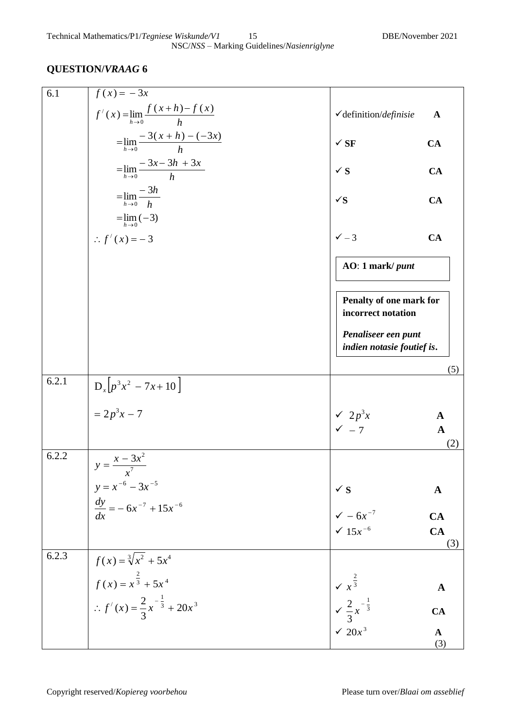| 6.1   | $f(x) = -3x$                                                                                |                                                                                                     |                     |
|-------|---------------------------------------------------------------------------------------------|-----------------------------------------------------------------------------------------------------|---------------------|
|       | $f'(x) = \lim_{h \to 0} \frac{f(x+h) - f(x)}{h}$                                            | $\checkmark$ definition/definisie                                                                   | $\mathbf{A}$        |
|       | $=\lim_{h\to 0} \frac{-3(x+h)-(-3x)}{h}$                                                    | $\checkmark$ SF                                                                                     | CA                  |
|       | $=\lim_{h\to 0} \frac{-3x-3h+3x}{h}$                                                        | $\checkmark$                                                                                        | CA                  |
|       | $=\lim_{h\to 0} \frac{-3h}{h}$                                                              | $\sqrt{S}$                                                                                          | CA                  |
|       | $=\lim_{h\to 0}(-3)$                                                                        |                                                                                                     |                     |
|       | $\therefore f'(x) = -3$                                                                     | $\checkmark$ - 3                                                                                    | CA                  |
|       |                                                                                             | AO: 1 mark/ punt                                                                                    |                     |
|       |                                                                                             | Penalty of one mark for<br>incorrect notation                                                       |                     |
|       |                                                                                             | Penaliseer een punt<br>indien notasie foutief is.                                                   |                     |
|       |                                                                                             |                                                                                                     | (5)                 |
| 6.2.1 | $D_x[p^3x^2 - 7x + 10]$                                                                     |                                                                                                     |                     |
|       | $= 2p^{3}x - 7$                                                                             | $\begin{array}{c} \sqrt{2p^3x} \\ \sqrt{-7} \end{array}$                                            | $\mathbf{A}$        |
|       |                                                                                             |                                                                                                     | $\mathbf A$         |
| 6.2.2 | $y = \frac{x - 3x^2}{x^7}$                                                                  |                                                                                                     | (2)                 |
|       | $y = x^{-6} - 3x^{-5}$                                                                      |                                                                                                     | $\mathbf{A}$        |
|       | $\frac{dy}{dx} = -6x^{-7} + 15x^{-6}$                                                       | $\begin{cases}\n\checkmark$ S<br>$\checkmark$ - 6x <sup>-7</sup><br>$\checkmark$ 15x <sup>-6</sup>  | CA                  |
|       |                                                                                             |                                                                                                     | CA                  |
| 6.2.3 | $f(x) = \sqrt[3]{x^2} + 5x^4$                                                               |                                                                                                     | (3)                 |
|       |                                                                                             |                                                                                                     | $\mathbf A$         |
|       | $f(x) = x^{\frac{2}{3}} + 5x^4$<br>$\therefore f'(x) = \frac{2}{3}x^{-\frac{1}{3}} + 20x^3$ | $\begin{array}{ccc} \n\sqrt{x^3} & & \n\sqrt{2x^{-\frac{1}{3}}} & \n\sqrt{20x^3} & & \n\end{array}$ | CA                  |
|       |                                                                                             |                                                                                                     | $\mathbf{A}$<br>(3) |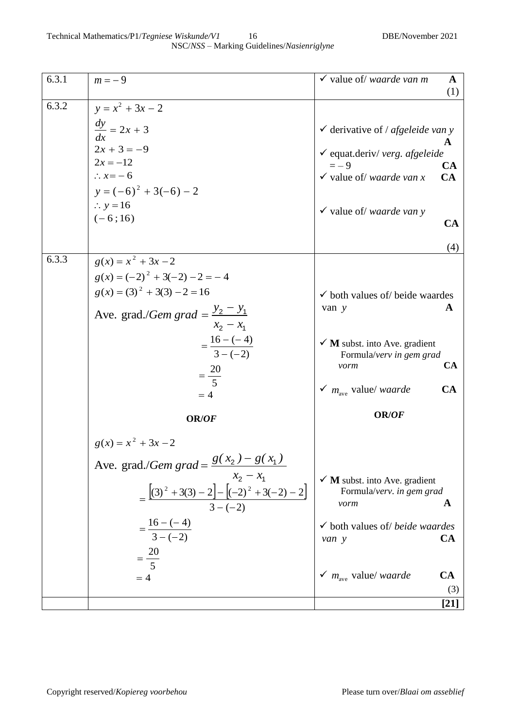| 6.3.1 | $m = -9$                                                                   | $\checkmark$ value of/ <i>waarde van m</i><br>$\mathbf A$<br>(1)                   |
|-------|----------------------------------------------------------------------------|------------------------------------------------------------------------------------|
| 6.3.2 | $y = x^2 + 3x - 2$                                                         |                                                                                    |
|       | $\frac{dy}{dx} = 2x + 3$                                                   | $\checkmark$ derivative of / <i>afgeleide van</i> y<br>$\mathbf A$                 |
|       | $2x + 3 = -9$<br>$2x = -12$                                                | $\checkmark$ equat.deriv/verg.afgeleide                                            |
|       | $\therefore x = -6$                                                        | $=-9$<br><b>CA</b><br>$\checkmark$ value of/ <i>waarde van x</i><br>CA             |
|       | $y = (-6)^{2} + 3(-6) - 2$                                                 |                                                                                    |
|       | $\therefore y = 16$<br>$(-6;16)$                                           | $\checkmark$ value of/ <i>waarde van</i> y<br><b>CA</b>                            |
|       |                                                                            | (4)                                                                                |
| 6.3.3 | $g(x) = x^2 + 3x - 2$                                                      |                                                                                    |
|       | $g(x) = (-2)^{2} + 3(-2) - 2 = -4$                                         |                                                                                    |
|       | $g(x) = (3)^{2} + 3(3) - 2 = 16$                                           | $\checkmark$ both values of/ beide waardes                                         |
|       | Ave. grad./ <i>Gem grad</i> = $\frac{y_2 - y_1}{x_2 - y_1}$<br>$x_2 - x_1$ | A<br>van y                                                                         |
|       | $=\frac{16-(-4)}{3-(-2)}$                                                  | $\checkmark$ M subst. into Ave. gradient<br>Formula/verv in gem grad<br>CA<br>vorm |
|       | $=\frac{20}{5}$<br>$= 4$                                                   | $\mathcal{N}_{m_{\text{ave}}}$ value/ waarde<br><b>CA</b>                          |
|       | OR/OF                                                                      | OR/OF                                                                              |
|       | $g(x) = x^2 + 3x - 2$                                                      |                                                                                    |
|       | Ave. grad./ <i>Gem grad</i> = $\frac{g(x_2) - g(x_1)}{x_2 - x_1}$          |                                                                                    |
|       | $=\frac{[(3)^{2}+3(3)-2]-[(-2)^{2}+3(-2)-2]}{3-(-2)}$                      | $\checkmark$ M subst. into Ave. gradient<br>Formula/verv. in gem grad<br>A<br>vorm |
|       | $=\frac{16-(-4)}{3-(-2)}$                                                  | $\checkmark$ both values of/ beide waardes<br>CA                                   |
|       | $=\frac{20}{5}$                                                            | van y                                                                              |
|       | $=4$                                                                       | $\checkmark$ m <sub>ave</sub> value/ <i>waarde</i><br>CA<br>(3)                    |
|       |                                                                            | $[21]$                                                                             |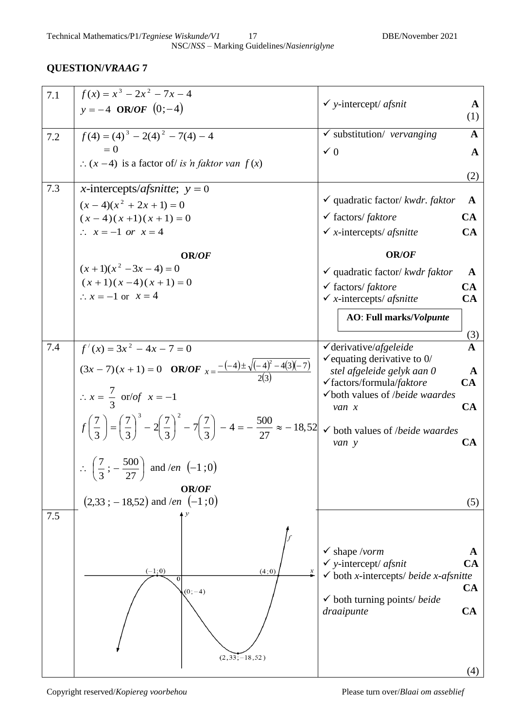| 7.1 | $f(x) = x^3 - 2x^2 - 7x - 4$                                                                                                                            |                                                                               |                    |
|-----|---------------------------------------------------------------------------------------------------------------------------------------------------------|-------------------------------------------------------------------------------|--------------------|
|     | $y = -4$ OR/OF $(0, -4)$                                                                                                                                | $\checkmark$ y-intercept/ <i>afsnit</i>                                       | $\mathbf{A}$       |
|     |                                                                                                                                                         |                                                                               | (1)                |
| 7.2 | $f(4) = (4)^3 - 2(4)^2 - 7(4) - 4$                                                                                                                      | $\checkmark$ substitution/ vervanging                                         | $\mathbf{A}$       |
|     | $= 0$                                                                                                                                                   | $\checkmark$ 0                                                                | $\mathbf A$        |
|     | $\therefore$ (x -4) is a factor of/ is 'n faktor van $f(x)$                                                                                             |                                                                               |                    |
|     |                                                                                                                                                         |                                                                               | (2)                |
| 7.3 | x-intercepts/ <i>afsnitte</i> ; $y = 0$                                                                                                                 |                                                                               |                    |
|     | $(x-4)(x^2+2x+1)=0$                                                                                                                                     | $\checkmark$ quadratic factor/ kwdr. faktor                                   | $\mathbf{A}$       |
|     | $(x-4)(x+1)(x+1) = 0$                                                                                                                                   | $\checkmark$ factors/ faktore                                                 | <b>CA</b>          |
|     | $\therefore$ $x = -1$ or $x = 4$                                                                                                                        | $\checkmark$ x-intercepts/ <i>afsnitte</i>                                    | CA                 |
|     | <b>OR/OF</b>                                                                                                                                            | OR/OF                                                                         |                    |
|     | $(x+1)(x^2-3x-4)=0$                                                                                                                                     |                                                                               |                    |
|     | $(x+1)(x-4)(x+1) = 0$                                                                                                                                   | $\checkmark$ quadratic factor/ kwdr faktor                                    | $\mathbf{A}$       |
|     | $\therefore$ $x = -1$ or $x = 4$                                                                                                                        | $\checkmark$ factors/ faktore                                                 | <b>CA</b>          |
|     |                                                                                                                                                         | $\checkmark$ x-intercepts/ afsnitte                                           | CA                 |
|     |                                                                                                                                                         | <b>AO: Full marks/Volpunte</b>                                                |                    |
|     |                                                                                                                                                         |                                                                               |                    |
| 7.4 | $f'(x) = 3x^2 - 4x - 7 = 0$                                                                                                                             | $\checkmark$ derivative/afgeleide                                             | $\frac{(3)}{A}$    |
|     |                                                                                                                                                         | $\checkmark$ equating derivative to 0/                                        |                    |
|     | $(3x-7)(x+1) = 0$ OR/OF $x = \frac{-(-4) \pm \sqrt{(-4)^2 - 4(3)(-7)}}{2(3)}$                                                                           | stel afgeleide gelyk aan 0                                                    | $\mathbf{A}$<br>CA |
|     |                                                                                                                                                         | √factors/formula/faktore<br>$\checkmark$ both values of <i>/beide waardes</i> |                    |
|     | $\therefore x = \frac{7}{3}$ or/of $x = -1$                                                                                                             | $van \ x$                                                                     | CA                 |
|     |                                                                                                                                                         |                                                                               |                    |
|     | $f\left(\frac{7}{3}\right) = \left(\frac{7}{3}\right)^3 - 2\left(\frac{7}{3}\right)^2 - 7\left(\frac{7}{3}\right) - 4 = -\frac{500}{27} \approx -18,52$ | $\checkmark$ both values of /beide waardes                                    |                    |
|     |                                                                                                                                                         | van y                                                                         | <b>CA</b>          |
|     |                                                                                                                                                         |                                                                               |                    |
|     | $\therefore \left(\frac{7}{3}; -\frac{500}{27}\right)$ and /en (-1;0)                                                                                   |                                                                               |                    |
|     | OR/OF                                                                                                                                                   |                                                                               |                    |
|     | $(2,33; -18,52)$ and /en $(-1;0)$                                                                                                                       |                                                                               | (5)                |
| 7.5 |                                                                                                                                                         |                                                                               |                    |
|     |                                                                                                                                                         |                                                                               |                    |
|     |                                                                                                                                                         | $\checkmark$ shape /vorm                                                      |                    |
|     |                                                                                                                                                         | $\checkmark$ y-intercept/ afsnit                                              | $\mathbf{A}$<br>CA |
|     | $(-1;0)$<br>(4;0)<br>$\overline{0}$                                                                                                                     | $\checkmark$ both <i>x</i> -intercepts/ <i>beide x-afsnitte</i>               |                    |
|     | $(0, -4)$                                                                                                                                               |                                                                               | <b>CA</b>          |
|     |                                                                                                                                                         | $\checkmark$ both turning points/ beide                                       |                    |
|     |                                                                                                                                                         | draaipunte                                                                    | CA                 |
|     |                                                                                                                                                         |                                                                               |                    |
|     |                                                                                                                                                         |                                                                               |                    |
|     | $(2, 33, -18, 52)$                                                                                                                                      |                                                                               |                    |
|     |                                                                                                                                                         |                                                                               | (4)                |

Copyright reserved/*Kopiereg voorbehou* Please turn over/*Blaai om asseblief*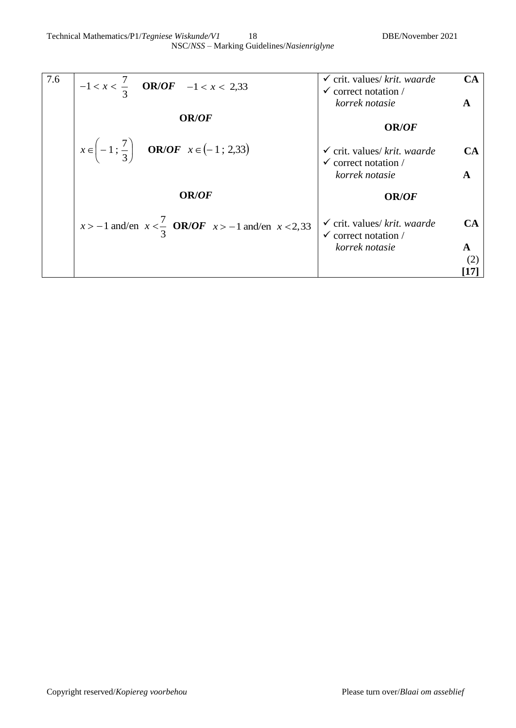| 7.6 | $-1 < x < \frac{7}{2}$ OR/OF $-1 < x < 2,33$                          | $\checkmark$ crit. values/ krit. waarde<br>$\checkmark$ correct notation / | CA        |
|-----|-----------------------------------------------------------------------|----------------------------------------------------------------------------|-----------|
|     |                                                                       | korrek notasie                                                             | A         |
|     | <b>OR/OF</b>                                                          | <b>OR/OF</b>                                                               |           |
|     | $x \in \left(-1; \frac{7}{3}\right)$ <b>OR/OF</b> $x \in (-1; 2, 33)$ | $\checkmark$ crit. values/ krit. waarde<br>$\checkmark$ correct notation / | <b>CA</b> |
|     |                                                                       | korrek notasie                                                             | A         |
|     | <b>OR/OF</b>                                                          | <b>OR/OF</b>                                                               |           |
|     | $x > -1$ and/en $x < \frac{7}{3}$ OR/OF $x > -1$ and/en $x < 2,33$    | $\checkmark$ crit. values/ krit. waarde<br>$\checkmark$ correct notation / | CA        |
|     |                                                                       | korrek notasie                                                             | A         |
|     |                                                                       |                                                                            | (2)       |
|     |                                                                       |                                                                            | 17        |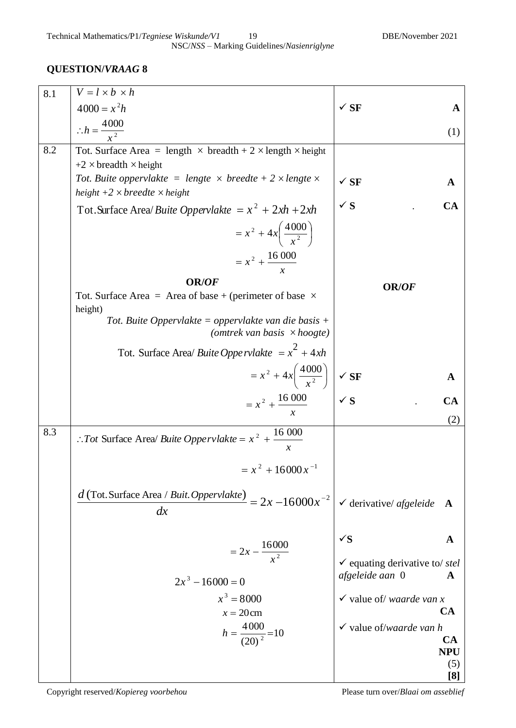| 8.1 | $V = l \times b \times h$                                                                                                   |                                                   |                         |
|-----|-----------------------------------------------------------------------------------------------------------------------------|---------------------------------------------------|-------------------------|
|     | $4000 = x^2h$                                                                                                               | $\checkmark$ SF                                   | A                       |
|     |                                                                                                                             |                                                   |                         |
|     | $\therefore h = \frac{4000}{x^2}$                                                                                           |                                                   | (1)                     |
| 8.2 | Tot. Surface Area = length $\times$ breadth + 2 $\times$ length $\times$ height                                             |                                                   |                         |
|     | $+2 \times$ breadth $\times$ height                                                                                         |                                                   |                         |
|     | Tot. Buite oppervlakte = lengte $\times$ breedte + 2 $\times$ lengte $\times$<br>height $+2 \times$ breedte $\times$ height | $\checkmark$ SF                                   | A                       |
|     | Tot.Surface Area/ <i>Buite Oppervlakte</i> = $x^2 + 2xh + 2xh$                                                              | $\checkmark$                                      | CA                      |
|     | $= x^{2} + 4x \left(\frac{4000}{x^{2}}\right)$                                                                              |                                                   |                         |
|     | $= x^2 + \frac{16\,000}{ }$                                                                                                 |                                                   |                         |
|     |                                                                                                                             |                                                   |                         |
|     | OR/OF                                                                                                                       | <b>OR/OF</b>                                      |                         |
|     | Tot. Surface Area = Area of base + (perimeter of base $\times$<br>height)                                                   |                                                   |                         |
|     | Tot. Buite Oppervlakte = oppervlakte van die basis +                                                                        |                                                   |                         |
|     | (omtrek van basis $\times$ hoogte)                                                                                          |                                                   |                         |
|     | Tot. Surface Area/ <i>Buite Oppervlakte</i> = $x^2 + 4xh$                                                                   |                                                   |                         |
|     | $= x^2 + 4x \left( \frac{4000}{x^2} \right)$ $\checkmark$ SF                                                                |                                                   | A                       |
|     | $=x^2+\frac{16\,000}{x}$                                                                                                    | $\checkmark$                                      | <b>CA</b>               |
|     |                                                                                                                             |                                                   | (2)                     |
| 8.3 | : Tot Surface Area/ Buite Oppervlakte = $x^2 + \frac{16000}{ }$<br>$\chi$                                                   |                                                   |                         |
|     | $= x^2 + 16000 x^{-1}$                                                                                                      |                                                   |                         |
|     | d (Tot. Surface Area / Buit. Oppervlakte) = $2x - 16000x^{-2}$<br>dx                                                        | $\checkmark$ derivative/ afgeleide<br>$\mathbf A$ |                         |
|     |                                                                                                                             | $\checkmark$                                      | A                       |
|     | $= 2x - \frac{16000}{x^2}$                                                                                                  | $\checkmark$ equating derivative to/ stel         |                         |
|     | $2x^3 - 16000 = 0$                                                                                                          | afgeleide aan 0                                   | A                       |
|     | $x^3 = 8000$                                                                                                                | $\checkmark$ value of/ <i>waarde van x</i>        |                         |
|     | $x = 20$ cm                                                                                                                 | <b>CA</b>                                         |                         |
|     | $h = \frac{4000}{(20)^2} = 10$                                                                                              | $\checkmark$ value of/waarde van h                |                         |
|     |                                                                                                                             |                                                   | <b>CA</b><br><b>NPU</b> |
|     |                                                                                                                             |                                                   | (5)                     |
|     |                                                                                                                             |                                                   | [8]                     |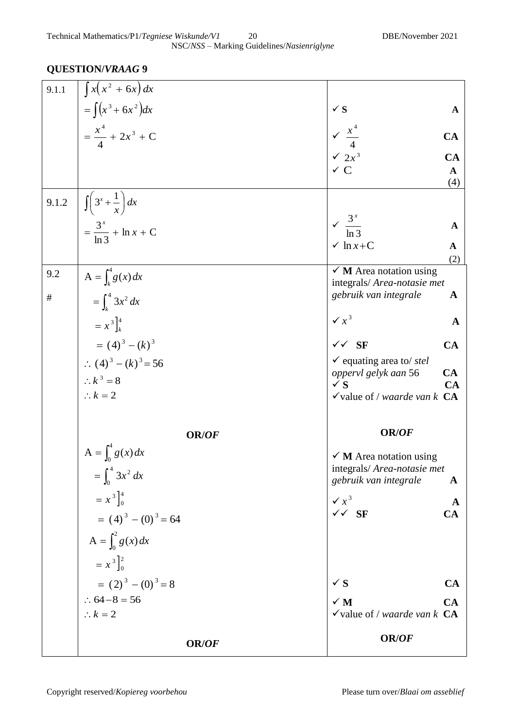| 9.1.1 | $\int x(x^2+6x) dx$                                   |                                                                                                            |
|-------|-------------------------------------------------------|------------------------------------------------------------------------------------------------------------|
|       | $=\int (x^3 + 6x^2) dx$                               | $\checkmark$<br>$\mathbf{A}$                                                                               |
|       | $=\frac{x^4}{4}+2x^3+C$                               | $\begin{array}{ccc}\n\checkmark & \frac{x^4}{4} \\ \checkmark & 2x^3 \\ \checkmark & C\n\end{array}$<br>CA |
|       |                                                       | <b>CA</b>                                                                                                  |
|       |                                                       | $\mathbf{A}$<br>(4)                                                                                        |
| 9.1.2 | $\int \left(3^x + \frac{1}{x}\right) dx$              |                                                                                                            |
|       | $=\frac{3^{x}}{\ln 3} + \ln x + C$                    | $\sqrt{\frac{3^x}{\ln 3}}$<br>$\mathbf{A}$                                                                 |
|       |                                                       | $\checkmark$ ln $x+C$<br>$\mathbf{A}$                                                                      |
|       |                                                       | (2)                                                                                                        |
| 9.2   | $A = \int_{k}^{4} g(x) dx$                            | $\checkmark$ M Area notation using<br>integrals/ Area-notasie met                                          |
| $\#$  | $=\int_{k}^{4} 3x^{2} dx$                             | gebruik van integrale<br>$\mathbf A$                                                                       |
|       |                                                       |                                                                                                            |
|       | $= x^3 \Big]_k^4$                                     | $\sqrt{x^3}$<br>$\mathbf{A}$                                                                               |
|       | $=(4)^3-(k)^3$                                        | $\checkmark$ SF<br>CA                                                                                      |
|       | $\therefore$ (4) <sup>3</sup> – (k) <sup>3</sup> = 56 | $\checkmark$ equating area to/ stel                                                                        |
|       | $\therefore k^3 = 8$                                  | CA<br>oppervl gelyk aan 56<br>CA<br>$\checkmark$                                                           |
|       | $\therefore k = 2$                                    | $\checkmark$ value of / waarde van k $CA$                                                                  |
|       |                                                       |                                                                                                            |
|       | <b>OR/OF</b>                                          | <b>OR/OF</b>                                                                                               |
|       | $A = \int_0^4 g(x) dx$                                | $\checkmark$ M Area notation using                                                                         |
|       | $=\int_0^4 3x^2 dx$                                   | integrals/ Area-notasie met<br>gebruik van integrale<br>A                                                  |
|       | $= x^3\Big]_0^4$                                      | $\sqrt{x^3}$<br>$\mathbf{A}$                                                                               |
|       | $=(4)^{3}-(0)^{3}=64$                                 | $\checkmark$ SF<br>CA                                                                                      |
|       | $A = \int_0^2 g(x) dx$                                |                                                                                                            |
|       | $= x^{3}\Big]_{0}^{2}$                                |                                                                                                            |
|       | $=(2)^3-(0)^3=8$                                      | $\checkmark$<br>CA                                                                                         |
|       | $\therefore$ 64-8 = 56                                | $\checkmark$ M<br>CA                                                                                       |
|       | $\therefore k = 2$                                    | $\checkmark$ value of / waarde van k $CA$                                                                  |
|       | <b>OR/OF</b>                                          | OR/OF                                                                                                      |